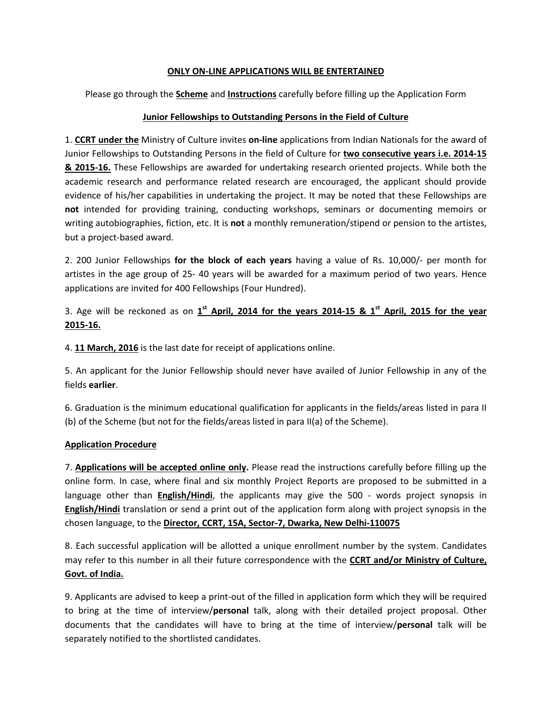#### ONLY ON-LINE APPLICATIONS WILL BE ENTERTAINED

Please go through the **Scheme** and **Instructions** carefully before filling up the Application Form

### Junior Fellowships to Outstanding Persons in the Field of Culture

1. CCRT under the Ministry of Culture invites on-line applications from Indian Nationals for the award of Junior Fellowships to Outstanding Persons in the field of Culture for two consecutive years i.e. 2014-15 8. 2015-16. These Fellowships are awarded for undertaking research oriented projects. While both the academic research and performance related research are encouraged, the applicant should provide evidence of his/her capabilities in undertaking the project. It may be noted that these Fellowships are not intended for providing training, conducting workshops, seminars or documenting memoirs or writing autobiographies, fiction, etc. It is not a monthly remuneration/stipend or pension to the artistes, but a project-based award.

2. 200 Junior Fellowships for the block of each years having a value of Rs. 10,000/- per month for artistes in the age group of 25- 40 years will be awarded for a maximum period of two years. Hence applications are invited for 400 Fellowships (Four Hundred).

3. Age will be reckoned as on  $1<sup>st</sup>$  April, 2014 for the years 2014-15 &  $1<sup>st</sup>$  April, 2015 for the year 2015-16.

4. 11 March, 2016 is the last date for receipt of applications online.

5. An applicant for the Junior Fellowship should never have availed of Junior Fellowship in any of the fields earlier.

6. Graduation is the minimum educational qualification for applicants in the fields/areas listed in para II (b) of the Scheme (but not for the fields/areas listed in para II(a) of the Scheme).

### Application Procedure

7. Applications will be accepted online only. Please read the instructions carefully before filling up the online form. In case, where final and six monthly Project Reports are proposed to be submitted in a language other than **English/Hindi**, the applicants may give the 500 - words project synopsis in **English/Hindi** translation or send a print out of the application form along with project synopsis in the chosen language, to the Director, CCRT, 15A, Sector-7, Dwarka, New Delhi-110075

8. Each successful application will be allotted a unique enrollment number by the system. Candidates may refer to this number in all their future correspondence with the CCRT and/or Ministry of Culture, Govt. of India.

9. Applicants are advised to keep a print-out of the filled in application form which they will be required to bring at the time of interview/personal talk, along with their detailed project proposal. Other documents that the candidates will have to bring at the time of interview/personal talk will be separately notified to the shortlisted candidates.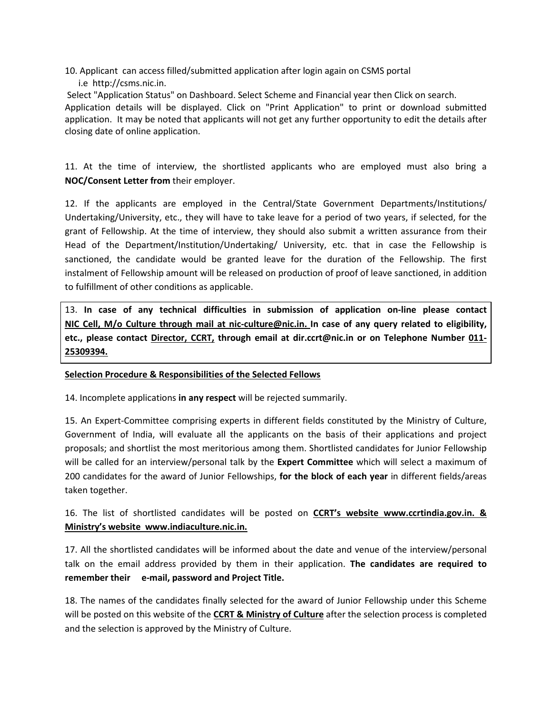- 10. Applicant can access filled/submitted application after login again on CSMS portal
	- i.e http://csms.nic.in.

 Select "Application Status" on Dashboard. Select Scheme and Financial year then Click on search. Application details will be displayed. Click on "Print Application" to print or download submitted application. It may be noted that applicants will not get any further opportunity to edit the details after

closing date of online application.

11. At the time of interview, the shortlisted applicants who are employed must also bring a NOC/Consent Letter from their employer.

12. If the applicants are employed in the Central/State Government Departments/Institutions/ Undertaking/University, etc., they will have to take leave for a period of two years, if selected, for the grant of Fellowship. At the time of interview, they should also submit a written assurance from their Head of the Department/Institution/Undertaking/ University, etc. that in case the Fellowship is sanctioned, the candidate would be granted leave for the duration of the Fellowship. The first instalment of Fellowship amount will be released on production of proof of leave sanctioned, in addition to fulfillment of other conditions as applicable.

13. In case of any technical difficulties in submission of application on-line please contact NIC Cell, M/o Culture through mail at nic-culture@nic.in. In case of any query related to eligibility, etc., please contact Director, CCRT, through email at dir.ccrt@nic.in or on Telephone Number 011- 25309394.

# Selection Procedure & Responsibilities of the Selected Fellows

14. Incomplete applications in any respect will be rejected summarily.

15. An Expert-Committee comprising experts in different fields constituted by the Ministry of Culture, Government of India, will evaluate all the applicants on the basis of their applications and project proposals; and shortlist the most meritorious among them. Shortlisted candidates for Junior Fellowship will be called for an interview/personal talk by the Expert Committee which will select a maximum of 200 candidates for the award of Junior Fellowships, for the block of each year in different fields/areas taken together.

16. The list of shortlisted candidates will be posted on CCRT's website www.ccrtindia.gov.in. & Ministry's website www.indiaculture.nic.in.

17. All the shortlisted candidates will be informed about the date and venue of the interview/personal talk on the email address provided by them in their application. The candidates are required to remember their e-mail, password and Project Title.

18. The names of the candidates finally selected for the award of Junior Fellowship under this Scheme will be posted on this website of the **CCRT & Ministry of Culture** after the selection process is completed and the selection is approved by the Ministry of Culture.